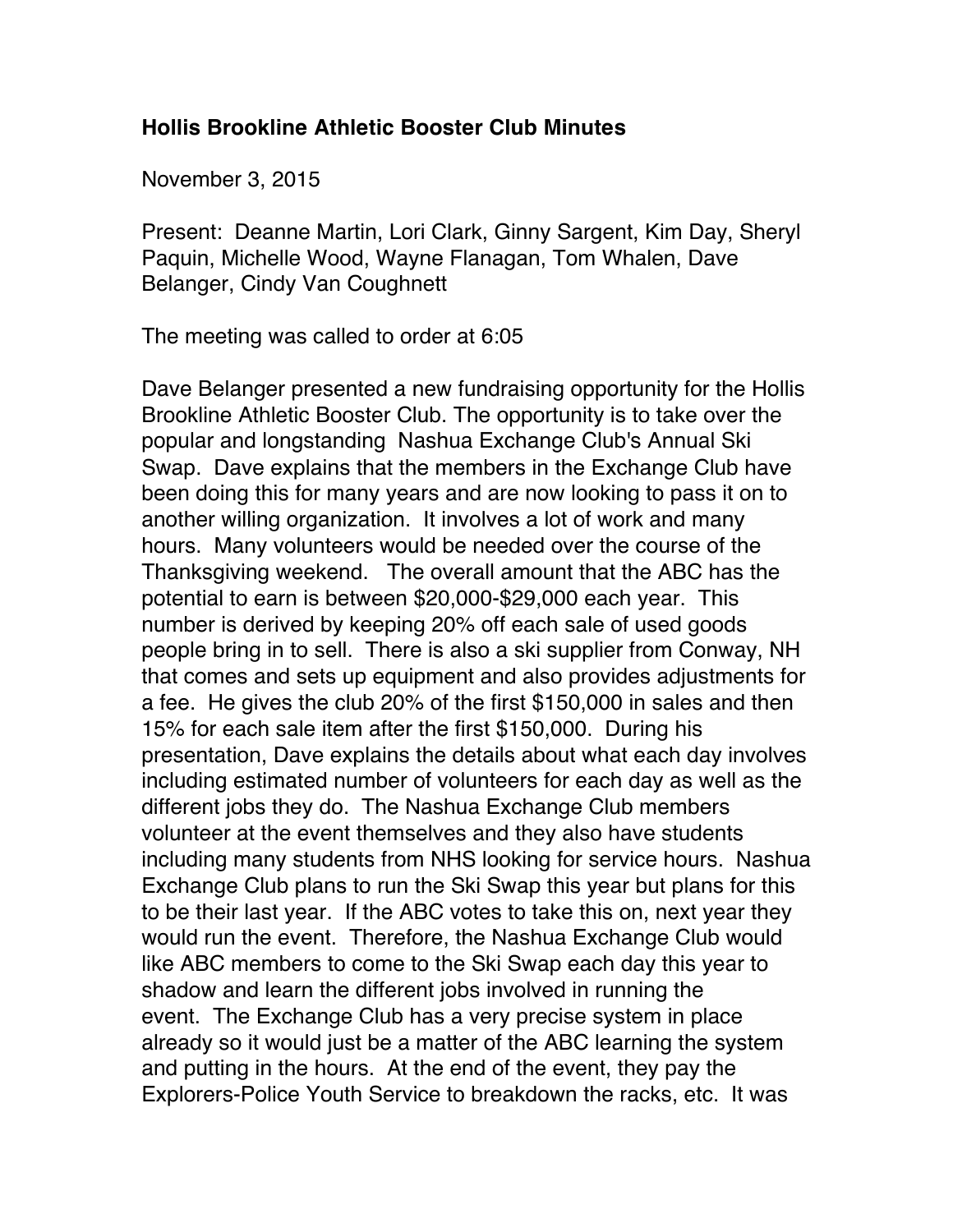## **Hollis Brookline Athletic Booster Club Minutes**

November 3, 2015

Present: Deanne Martin, Lori Clark, Ginny Sargent, Kim Day, Sheryl Paquin, Michelle Wood, Wayne Flanagan, Tom Whalen, Dave Belanger, Cindy Van Coughnett

The meeting was called to order at 6:05

Dave Belanger presented a new fundraising opportunity for the Hollis Brookline Athletic Booster Club. The opportunity is to take over the popular and longstanding Nashua Exchange Club's Annual Ski Swap. Dave explains that the members in the Exchange Club have been doing this for many years and are now looking to pass it on to another willing organization. It involves a lot of work and many hours. Many volunteers would be needed over the course of the Thanksgiving weekend. The overall amount that the ABC has the potential to earn is between \$20,000-\$29,000 each year. This number is derived by keeping 20% off each sale of used goods people bring in to sell. There is also a ski supplier from Conway, NH that comes and sets up equipment and also provides adjustments for a fee. He gives the club 20% of the first \$150,000 in sales and then 15% for each sale item after the first \$150,000. During his presentation, Dave explains the details about what each day involves including estimated number of volunteers for each day as well as the different jobs they do. The Nashua Exchange Club members volunteer at the event themselves and they also have students including many students from NHS looking for service hours. Nashua Exchange Club plans to run the Ski Swap this year but plans for this to be their last year. If the ABC votes to take this on, next year they would run the event. Therefore, the Nashua Exchange Club would like ABC members to come to the Ski Swap each day this year to shadow and learn the different jobs involved in running the event. The Exchange Club has a very precise system in place already so it would just be a matter of the ABC learning the system and putting in the hours. At the end of the event, they pay the Explorers-Police Youth Service to breakdown the racks, etc. It was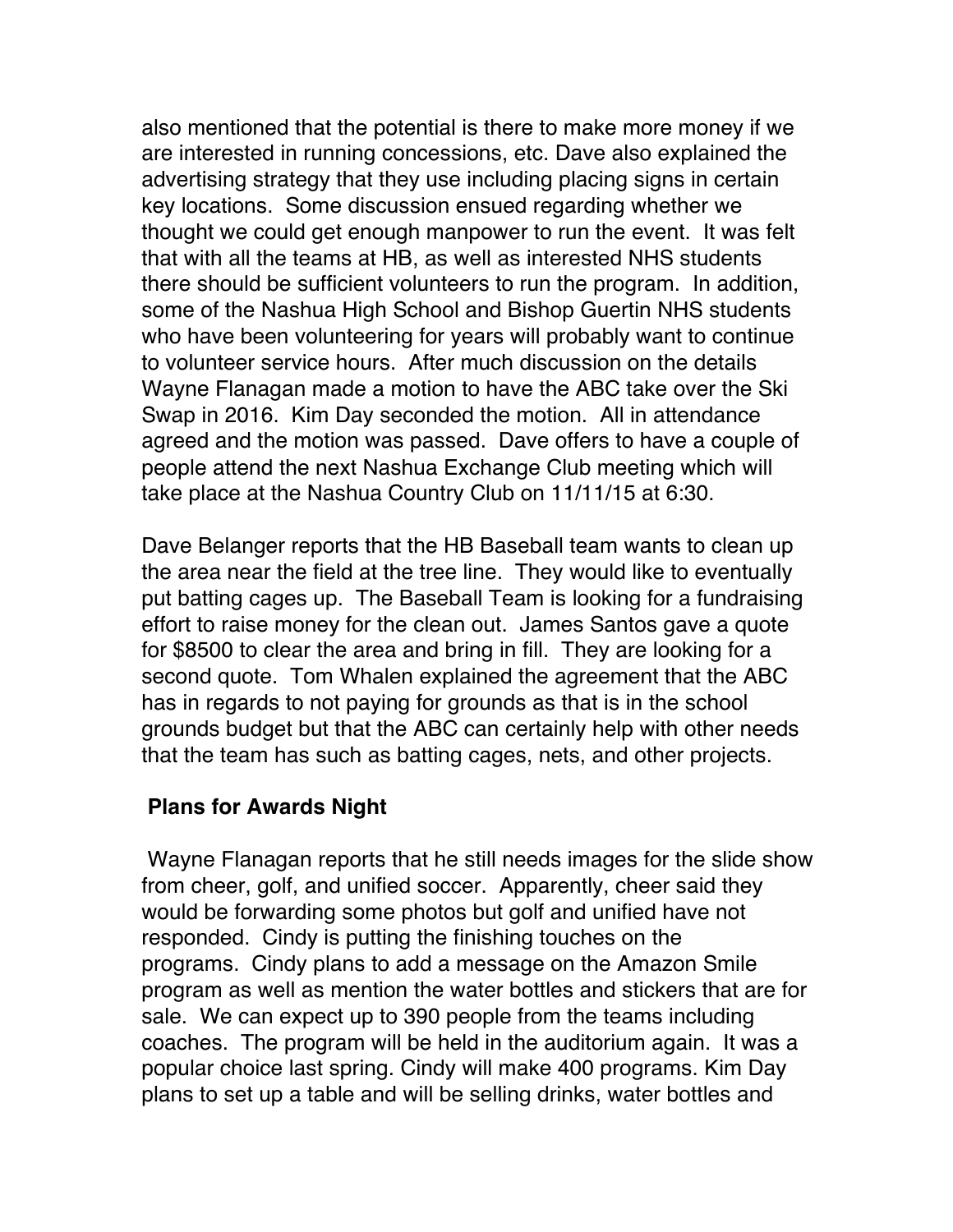also mentioned that the potential is there to make more money if we are interested in running concessions, etc. Dave also explained the advertising strategy that they use including placing signs in certain key locations. Some discussion ensued regarding whether we thought we could get enough manpower to run the event. It was felt that with all the teams at HB, as well as interested NHS students there should be sufficient volunteers to run the program. In addition, some of the Nashua High School and Bishop Guertin NHS students who have been volunteering for years will probably want to continue to volunteer service hours. After much discussion on the details Wayne Flanagan made a motion to have the ABC take over the Ski Swap in 2016. Kim Day seconded the motion. All in attendance agreed and the motion was passed. Dave offers to have a couple of people attend the next Nashua Exchange Club meeting which will take place at the Nashua Country Club on 11/11/15 at 6:30.

Dave Belanger reports that the HB Baseball team wants to clean up the area near the field at the tree line. They would like to eventually put batting cages up. The Baseball Team is looking for a fundraising effort to raise money for the clean out. James Santos gave a quote for \$8500 to clear the area and bring in fill. They are looking for a second quote. Tom Whalen explained the agreement that the ABC has in regards to not paying for grounds as that is in the school grounds budget but that the ABC can certainly help with other needs that the team has such as batting cages, nets, and other projects.

## **Plans for Awards Night**

Wayne Flanagan reports that he still needs images for the slide show from cheer, golf, and unified soccer. Apparently, cheer said they would be forwarding some photos but golf and unified have not responded. Cindy is putting the finishing touches on the programs. Cindy plans to add a message on the Amazon Smile program as well as mention the water bottles and stickers that are for sale. We can expect up to 390 people from the teams including coaches. The program will be held in the auditorium again. It was a popular choice last spring. Cindy will make 400 programs. Kim Day plans to set up a table and will be selling drinks, water bottles and